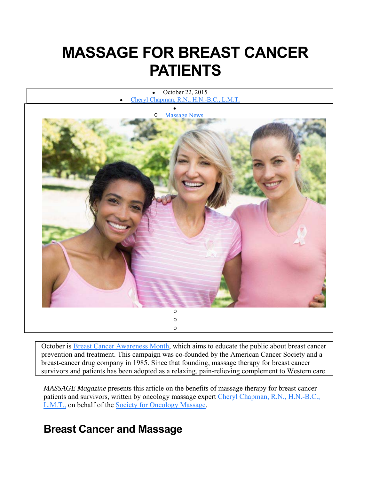# **MASSAGE FOR BREAST CANCER PATIENTS**

 October 22, 2015 Cheryl Chapman, R.N., H.N.-B.C., L.M.T.



October is Breast Cancer Awareness Month, which aims to educate the public about breast cancer prevention and treatment. This campaign was co-founded by the American Cancer Society and a breast-cancer drug company in 1985. Since that founding, massage therapy for breast cancer survivors and patients has been adopted as a relaxing, pain-relieving complement to Western care.

*MASSAGE Magazine* presents this article on the benefits of massage therapy for breast cancer patients and survivors, written by oncology massage expert Cheryl Chapman, R.N., H.N.-B.C., L.M.T., on behalf of the Society for Oncology Massage.

## **Breast Cancer and Massage**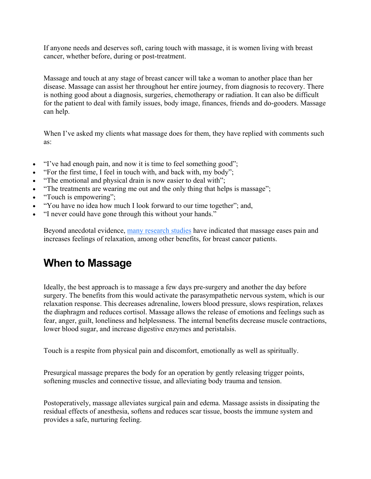If anyone needs and deserves soft, caring touch with massage, it is women living with breast cancer, whether before, during or post-treatment.

Massage and touch at any stage of breast cancer will take a woman to another place than her disease. Massage can assist her throughout her entire journey, from diagnosis to recovery. There is nothing good about a diagnosis, surgeries, chemotherapy or radiation. It can also be difficult for the patient to deal with family issues, body image, finances, friends and do-gooders. Massage can help.

When I've asked my clients what massage does for them, they have replied with comments such as:

- "I've had enough pain, and now it is time to feel something good";
- "For the first time, I feel in touch with, and back with, my body";
- "The emotional and physical drain is now easier to deal with";
- "The treatments are wearing me out and the only thing that helps is massage";
- "Touch is empowering";
- "You have no idea how much I look forward to our time together"; and,
- "I never could have gone through this without your hands."

Beyond anecdotal evidence, many research studies have indicated that massage eases pain and increases feelings of relaxation, among other benefits, for breast cancer patients.

## **When to Massage**

Ideally, the best approach is to massage a few days pre-surgery and another the day before surgery. The benefits from this would activate the parasympathetic nervous system, which is our relaxation response. This decreases adrenaline, lowers blood pressure, slows respiration, relaxes the diaphragm and reduces cortisol. Massage allows the release of emotions and feelings such as fear, anger, guilt, loneliness and helplessness. The internal benefits decrease muscle contractions, lower blood sugar, and increase digestive enzymes and peristalsis.

Touch is a respite from physical pain and discomfort, emotionally as well as spiritually.

Presurgical massage prepares the body for an operation by gently releasing trigger points, softening muscles and connective tissue, and alleviating body trauma and tension.

Postoperatively, massage alleviates surgical pain and edema. Massage assists in dissipating the residual effects of anesthesia, softens and reduces scar tissue, boosts the immune system and provides a safe, nurturing feeling.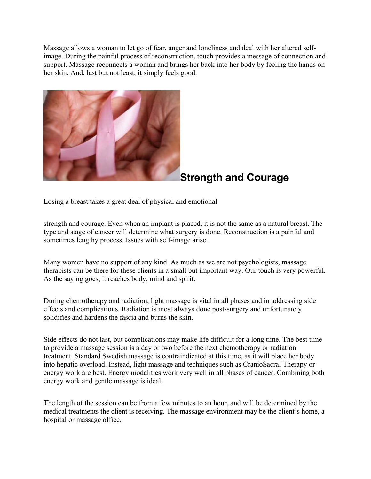Massage allows a woman to let go of fear, anger and loneliness and deal with her altered selfimage. During the painful process of reconstruction, touch provides a message of connection and support. Massage reconnects a woman and brings her back into her body by feeling the hands on her skin. And, last but not least, it simply feels good.



## **Strength and Courage**

Losing a breast takes a great deal of physical and emotional

strength and courage. Even when an implant is placed, it is not the same as a natural breast. The type and stage of cancer will determine what surgery is done. Reconstruction is a painful and sometimes lengthy process. Issues with self-image arise.

Many women have no support of any kind. As much as we are not psychologists, massage therapists can be there for these clients in a small but important way. Our touch is very powerful. As the saying goes, it reaches body, mind and spirit.

During chemotherapy and radiation, light massage is vital in all phases and in addressing side effects and complications. Radiation is most always done post-surgery and unfortunately solidifies and hardens the fascia and burns the skin.

Side effects do not last, but complications may make life difficult for a long time. The best time to provide a massage session is a day or two before the next chemotherapy or radiation treatment. Standard Swedish massage is contraindicated at this time, as it will place her body into hepatic overload. Instead, light massage and techniques such as CranioSacral Therapy or energy work are best. Energy modalities work very well in all phases of cancer. Combining both energy work and gentle massage is ideal.

The length of the session can be from a few minutes to an hour, and will be determined by the medical treatments the client is receiving. The massage environment may be the client's home, a hospital or massage office.